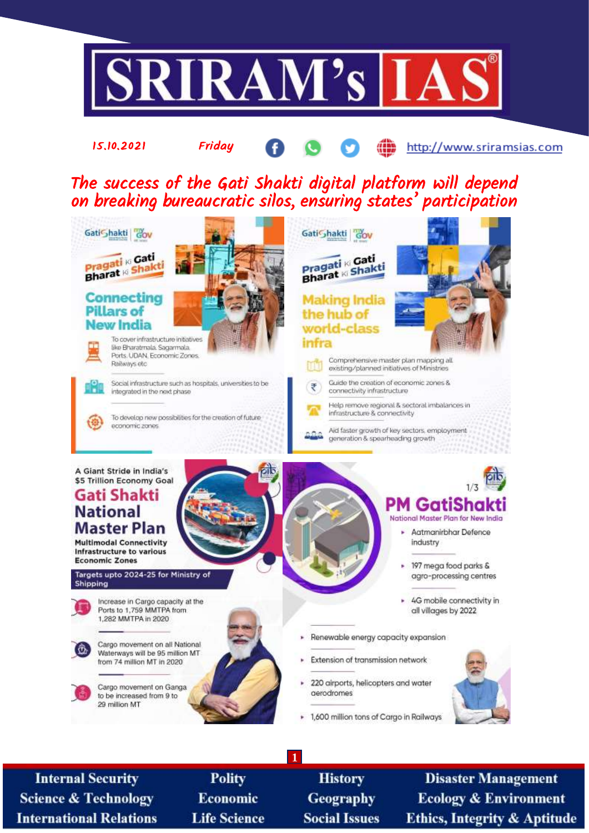

**Internal Security Science & Technology International Relations** 

**Polity** Economic **Life Science** 

**History Geography Social Issues** 

**Disaster Management Ecology & Environment Ethics, Integrity & Aptitude**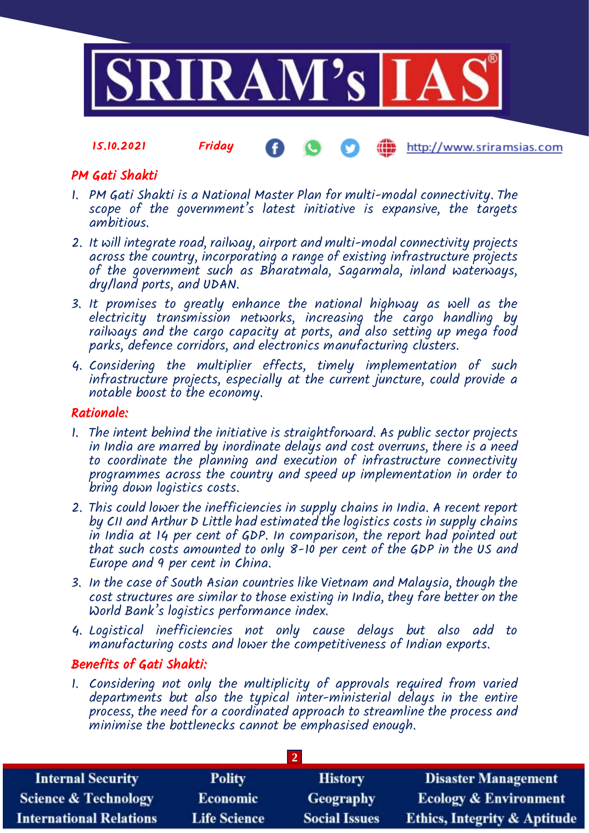

#### 15.10.2021 Friday http://www.sriramsias.com

# PM Gati Shakti

- 1. PM Gati Shakti is a National Master Plan for multi-modal connectivity. The scope of the government's latest initiative is expansive, the targets ambitious.
- 2. It will integrate road, railway, airport and multi-modal connectivity projects across the country, incorporating a range of existing infrastructure projects of the government such as Bharatmala, Sagarmala, inland waterways, dry/land ports, and UDAN.
- 3. It promises to greatly enhance the national highway as well as the electricity transmission networks, increasing the cargo handling by railways and the cargo capacity at ports, and also setting up mega food parks, defence corridors, and electronics manufacturing clusters.
- 4. Considering the multiplier effects, timely implementation of such infrastructure projects, especially at the current juncture, could provide a notable boost to the economy.

### Rationale:

- 1. The intent behind the initiative is straightforward. As public sector projects in India are marred by inordinate delays and cost overruns, there is a need to coordinate the planning and execution of infrastructure connectivity programmes across the country and speed up implementation in order to bring down logistics costs.
- 2. This could lower the inefficiencies in supply chains in India. A recent report by CII and Arthur D Little had estimated the logistics costs in supply chains in India at 14 per cent of GDP. In comparison, the report had pointed out that such costs amounted to only  $8$ -10 per cent of the GDP in the US and Europe and 9 per cent in China.
- 3. In the case of South Asian countries like Vietnam and Malaysia, though the cost structures are similar to those existing in India, they fare better on the World Bank's logistics performance index.
- 4. Logistical inefficiencies not only cause delays but also add to manufacturing costs and lower the competitiveness of Indian exports.

# Benefits of Gati Shakti:

1. Considering not only the multiplicity of approvals required from varied departments but also the typical inter-ministerial delays in the entire process, the need for a coordinated approach to streamline the process and minimise the bottlenecks cannot be emphasised enough.

| <b>Internal Security</b>        | <b>Polity</b>       | <b>History</b>       | <b>Disaster Management</b>              |  |  |
|---------------------------------|---------------------|----------------------|-----------------------------------------|--|--|
| <b>Science &amp; Technology</b> | <b>Economic</b>     | Geography            | <b>Ecology &amp; Environment</b>        |  |  |
| <b>International Relations</b>  | <b>Life Science</b> | <b>Social Issues</b> | <b>Ethics, Integrity &amp; Aptitude</b> |  |  |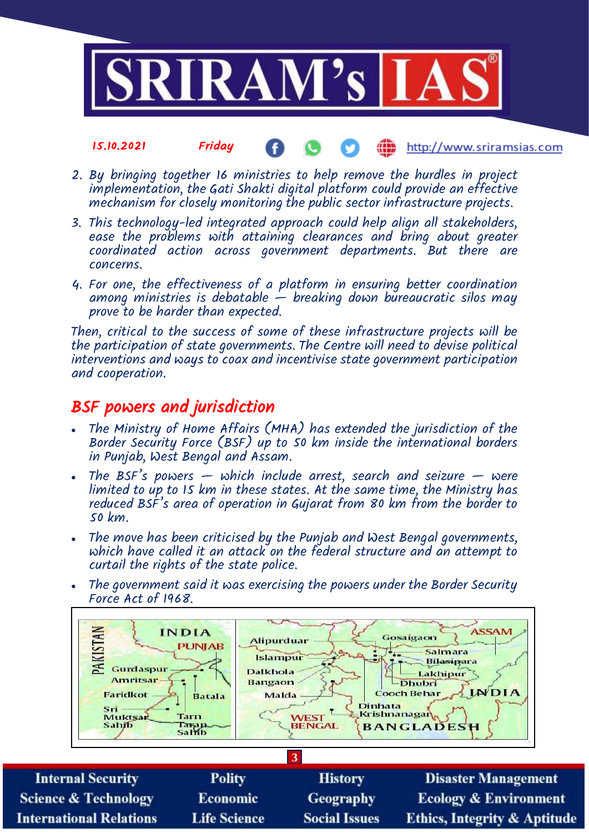

#### 15.10.2021 Friday æ http://www.sriramsias.com

- 2. By bringing together 16 ministries to help remove the hurdles in project implementation, the Gati Shakti digital platform could provide an effective mechanism for closely monitoring the public sector infrastructure projects.
- 3. This technology-led integrated approach could help align all stakeholders, ease the problems with attaining clearances and bring about greater coordinated action across government departments. But there are concerns.
- 4. For one, the effectiveness of a platform in ensuring better coordination among ministries is debatable  $-$  breaking down bureaucratic silos may prove to be harder than expected.

Then, critical to the success of some of these infrastructure projects will be the participation of state governments. The Centre will need to devise political interventions and ways to coax and incentivise state government participation and cooperation.

# BSF powers and jurisdiction

- The Ministry of Home Affairs (MHA) has extended the jurisdiction of the Border Security Force (BSF) up to 50 km inside the international borders in Punjab, West Bengal and Assam.
- The BSF's powers  $-$  which include arrest, search and seizure  $-$  were limited to up to 15 km in these states. At the same time, the Ministry has reduced BSF's area of operation in Gujarat from 80 km from the border to 50 km.
- The move has been criticised by the Punjab and West Bengal governments, which have called it an attack on the federal structure and an attempt to curtail the rights of the state police.
- The government said it was exercising the powers under the Border Security Force Act of 1968.



**Polity Internal Security History Disaster Management** Economic **Science & Technology Geography Ecology & Environment Life Science International Relations Social Issues Ethics, Integrity & Aptitude**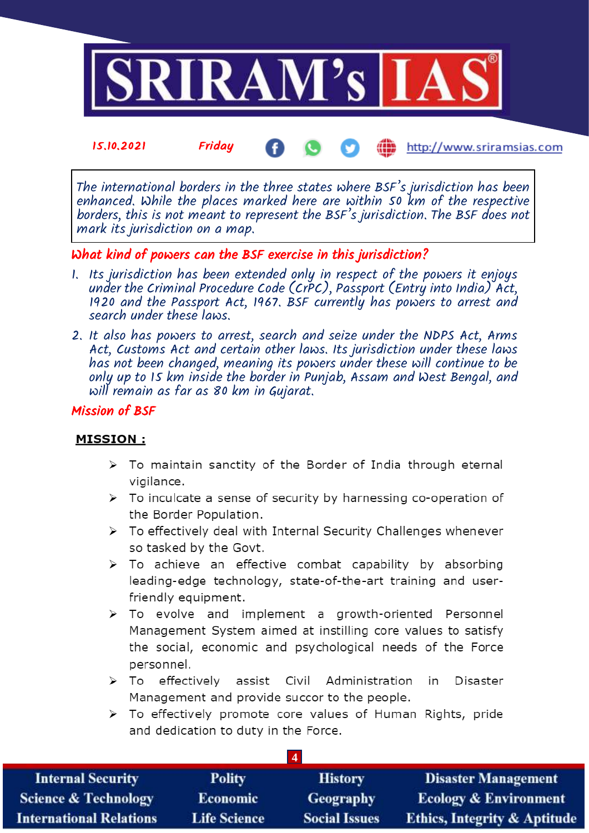

15.10.2021 Friday http://www.sriramsias.com Æ

The international borders in the three states where BSF's jurisdiction has been enhanced. While the places marked here are within 50 km of the respective borders, this is not meant to represent the BSF's jurisdiction. The BSF does not mark its jurisdiction on a map.

# What kind of powers can the BSF exercise in this jurisdiction?

- 1. Its jurisdiction has been extended only in respect of the powers it enjoys under the Criminal Procedure Code (CrPC), Passport (Entry into India) Act, 1920 and the Passport Act, 1967. BSF currently has powers to arrest and search under these laws.
- 2. It also has powers to arrest, search and seize under the NDPS Act, Arms Act, Customs Act and certain other laws. Its jurisdiction under these laws has not been changed, meaning its powers under these will continue to be only up to 15 km inside the border in Punjab, Assam and West Bengal, and will remain as far as 80 km in Gujarat.

### Mission of BSF

### **MISSION:**

- > To maintain sanctity of the Border of India through eternal vigilance.
- > To inculcate a sense of security by harnessing co-operation of the Border Population.
- > To effectively deal with Internal Security Challenges whenever so tasked by the Goyt.
- > To achieve an effective combat capability by absorbing leading-edge technology, state-of-the-art training and userfriendly equipment.
- > To evolve and implement a growth-oriented Personnel Management System aimed at instilling core values to satisfy the social, economic and psychological needs of the Force personnel.
- $\triangleright$  To effectively assist Civil Administration in Disaster Management and provide succor to the people.
- > To effectively promote core values of Human Rights, pride and dedication to duty in the Force.

| <b>Internal Security</b>        | <b>Polity</b>       | <b>History</b>       | <b>Disaster Management</b>              |  |  |
|---------------------------------|---------------------|----------------------|-----------------------------------------|--|--|
| <b>Science &amp; Technology</b> | <b>Economic</b>     | Geography            | <b>Ecology &amp; Environment</b>        |  |  |
| <b>International Relations</b>  | <b>Life Science</b> | <b>Social Issues</b> | <b>Ethics, Integrity &amp; Aptitude</b> |  |  |

**4**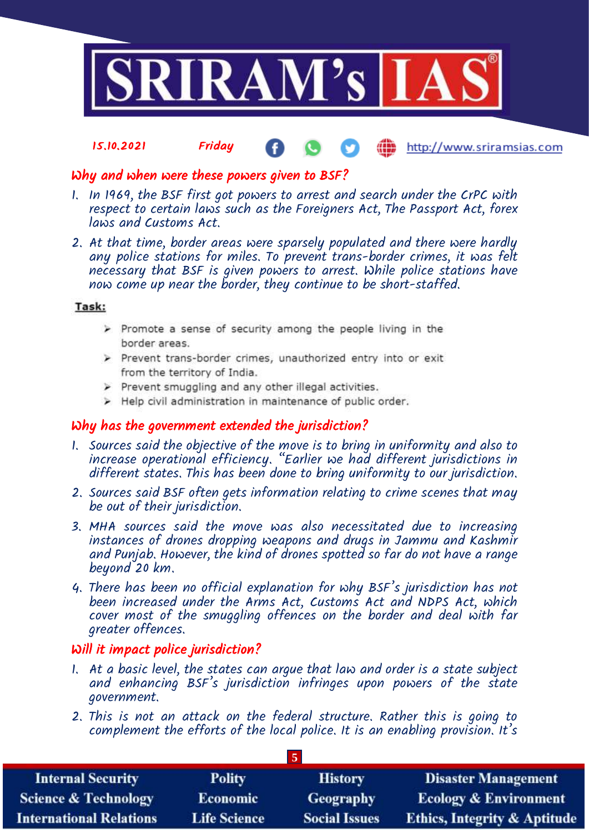

#### 15.10.2021 Friday **(iii)** http://www.sriramsias.com

## Why and when were these powers given to BSF?

- 1. In 1969, the BSF first got powers to arrest and search under the CrPC with respect to certain laws such as the Foreigners Act, The Passport Act, forex laws and Customs Act.
- 2. At that time, border areas were sparsely populated and there were hardly any police stations for miles. To prevent trans-border crimes, it was felt necessary that BSF is given powers to arrest. While police stations have now come up near the border, they continue to be short-staffed.

### Task:

- > Promote a sense of security among the people living in the border areas.
- > Prevent trans-border crimes, unauthorized entry into or exit from the territory of India.
- > Prevent smuggling and any other illegal activities.
- > Help civil administration in maintenance of public order.

# Why has the government extended the jurisdiction?

- 1. Sources said the objective of the move is to bring in uniformity and also to increase operational efficiency. "Earlier we had different jurisdictions in different states. This has been done to bring uniformity to our jurisdiction.
- 2. Sources said BSF often gets information relating to crime scenes that may be out of their jurisdiction.
- 3. MHA sources said the move was also necessitated due to increasing instances of drones dropping weapons and drugs in Jammu and Kashmir and Punjab. However, the kind of drones spotted so far do not have a range beyond 20 km.
- 4. There has been no official explanation for why BSF's jurisdiction has not been increased under the Arms Act, Customs Act and NDPS Act, which cover most of the smuggling offences on the border and deal with far greater offences.

### Will it impact police jurisdiction?

- 1. At a basic level, the states can argue that law and order is a state subject and enhancing BSF's jurisdiction infringes upon powers of the state government.
- 2. This is not an attack on the federal structure. Rather this is going to complement the efforts of the local police. It is an enabling provision. It's

**5**

| <b>Internal Security</b>        | <b>Polity</b>       | <b>History</b>       | <b>Disaster Management</b>              |  |
|---------------------------------|---------------------|----------------------|-----------------------------------------|--|
| <b>Science &amp; Technology</b> | <b>Economic</b>     | <b>Geography</b>     | <b>Ecology &amp; Environment</b>        |  |
| <b>International Relations</b>  | <b>Life Science</b> | <b>Social Issues</b> | <b>Ethics, Integrity &amp; Aptitude</b> |  |